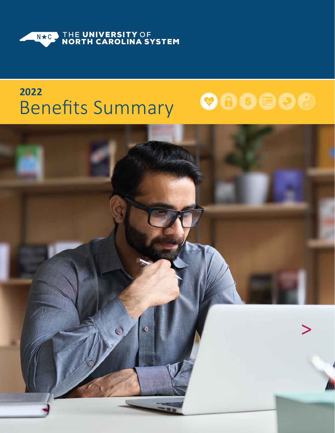<span id="page-0-0"></span>

# **2022** Benefits Summary



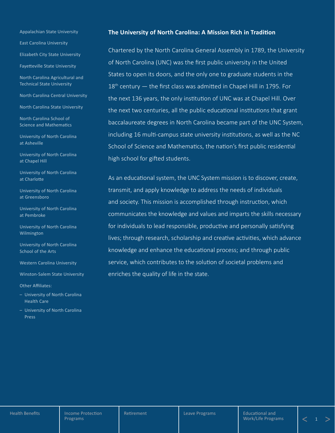<span id="page-1-0"></span>Appalachian State University

East Carolina University

Elizabeth City State University

Fayetteville State University

North Carolina Agricultural and Technical State University

North Carolina Central University

North Carolina State University

North Carolina School of Science and Mathematics

University of North Carolina at Asheville

University of North Carolina at Chapel Hill

University of North Carolina at Charlotte

University of North Carolina at Greensboro

University of North Carolina at Pembroke

University of North Carolina Wilmington

University of North Carolina School of the Arts

Western Carolina University

Winston-Salem State University

Other Affiliates:

- University of North Carolina Health Care
- University of North Carolina Press

#### **The University of North Carolina: A Mission Rich in Tradition**

Chartered by the North Carolina General Assembly in 1789, the University of North Carolina (UNC) was the first public university in the United States to open its doors, and the only one to graduate students in the  $18<sup>th</sup>$  century  $-$  the first class was admitted in Chapel Hill in 1795. For the next 136 years, the only institution of UNC was at Chapel Hill. Over the next two centuries, all the public educational institutions that grant baccalaureate degrees in North Carolina became part of the UNC System, including 16 multi-campus state university institutions, as well as the NC School of Science and Mathematics, the nation's first public residential high school for gifted students.

As an educational system, the UNC System mission is to discover, create, transmit, and apply knowledge to address the needs of individuals and society. This mission is accomplished through instruction, which communicates the knowledge and values and imparts the skills necessary for individuals to lead responsible, productive and personally satisfying lives; through research, scholarship and creative activities, which advance knowledge and enhance the educational process; and through public service, which contributes to the solution of societal problems and enriches the quality of life in the state.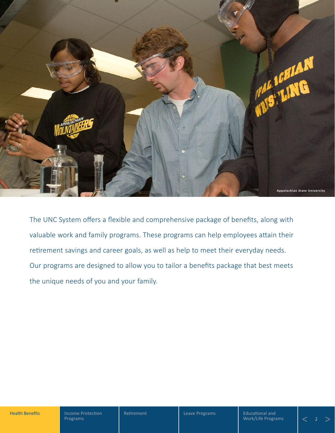<span id="page-2-0"></span>

The UNC System offers a flexible and comprehensive package of benefits, along with valuable work and family programs. These programs can help employees attain their retirement savings and career goals, as well as help to meet their everyday needs. Our programs are designed to allow you to tailor a benefits package that best meets the unique needs of you and your family.

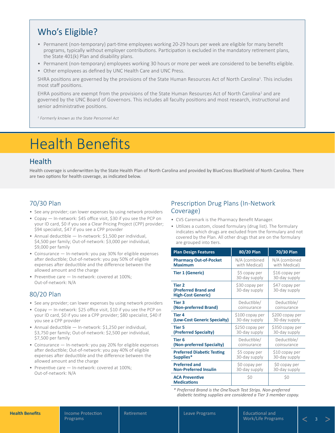# <span id="page-3-1"></span>Who's Eligible?

- Permanent (non-temporary) part-time employees working 20-29 hours per week are eligible for many benefit programs, typically without employer contributions. Participation is excluded in the mandatory retirement plans, the State 401(k) Plan and disability plans.
- Permanent (non-temporary) employees working 30 hours or more per week are considered to be benefits eligible.
- Other employees as defined by UNC Health Care and UNC Press.

SHRA positions are governed by the provisions of the State Human Resources Act of North Carolina<sup>1</sup>. This includes most staff positions.

EHRA positions are exempt from the provisions of the State Human Resources Act of North Carolina<sup>1</sup> and are governed by the UNC Board of Governors. This includes all faculty positions and most research, instructional and senior administrative positions.

<sup>1</sup> Formerly known as the State Personnel Act

# <span id="page-3-0"></span>Health Benefits

### Health

Health coverage is underwritten by the State Health Plan of North Carolina and provided by BlueCross BlueShield of North Carolina. There are two options for health coverage, as indicated below.

#### 70/30 Plan

- See any provider; can lower expenses by using network providers
- Copay In-network: \$45 office visit, \$30 if you see the PCP on your ID card, \$0 if you see a Clear Pricing Project (CPP) provider; \$94 specialist, \$47 if you see a CPP provider
- Annual deductible In-network: \$1,500 per individual, \$4,500 per family; Out-of-network: \$3,000 per individual, \$9,000 per family
- Coinsurance In-network: you pay 30% for eligible expenses after deductible; Out-of-network: you pay 50% of eligible expenses after deductible and the difference between the allowed amount and the charge
- Preventive care In-network: covered at 100%; Out-of-network: N/A

### 80/20 Plan

- See any provider; can lower expenses by using network providers
- Copay In-network: \$25 office visit, \$10 if you see the PCP on your ID card, \$0 if you see a CPP provider; \$80 specialist, \$40 if you see a CPP provider
- Annual deductible In-network: \$1,250 per individual, \$3,750 per family; Out-of-network: \$2,500 per individual, \$7,500 per family
- Coinsurance In-network: you pay 20% for eligible expenses after deductible; Out-of-network: you pay 40% of eligible expenses after deductible and the difference between the allowed amount and the charge
- Preventive care In-network: covered at 100%; Out-of-network: N/A

### Prescription Drug Plans (In-Network Coverage)

- CVS Caremark is the Pharmacy Benefit Manager.
- Utilizes a custom, closed formulary (drug list). The formulary indicates which drugs are excluded from the formulary and not covered by the Plan. All other drugs that are on the formulary are grouped into tiers.

| <b>Plan Design Features</b>                                            | 80/20 Plan                      | 70/30 Plan                      |
|------------------------------------------------------------------------|---------------------------------|---------------------------------|
| <b>Pharmacy Out-of-Pocket</b>                                          | N/A (combined                   | N/A (combined                   |
| <b>Maximum</b>                                                         | with Medical)                   | with Medical)                   |
| <b>Tier 1 (Generic)</b>                                                | \$5 copay per<br>30-day supply  | \$16 copay per<br>30-day supply |
| Tier <sub>2</sub><br>(Preferred Brand and<br><b>High-Cost Generic)</b> | \$30 copay per<br>30-day supply | \$47 copay per<br>30-day supply |
| Tier <sub>3</sub>                                                      | Deductible/                     | Deductible/                     |
| (Non-preferred Brand)                                                  | coinsurance                     | coinsurance                     |
| Tier 4                                                                 | \$100 copay per                 | \$200 copay per                 |
| (Low-Cost Generic Specialty)                                           | 30-day supply                   | 30-day supply                   |
| <b>Tier 5</b>                                                          | \$250 copay per                 | \$350 copay per                 |
| (Preferred Specialty)                                                  | 30-day supply                   | 30-day supply                   |
| Tier <sub>6</sub>                                                      | Deductible/                     | Deductible/                     |
| (Non-preferred Specialty)                                              | coinsurance                     | coinsurance                     |
| <b>Preferred Diabetic Testing</b>                                      | \$5 copay per                   | \$10 copay per                  |
| Supplies*                                                              | 30-day supply                   | 30-day supply                   |
| <b>Preferred and</b>                                                   | \$0 copay per                   | \$0 copay per                   |
| <b>Non-Preferred Insulin</b>                                           | 30-day supply                   | 30-day supply                   |
| <b>ACA Preventive</b><br><b>Medications</b>                            | \$0                             | \$0                             |

*\* Preferred Brand is the OneTouch Test Strips. Non-preferred diabetic testing supplies are considered a Tier 3 member copay.*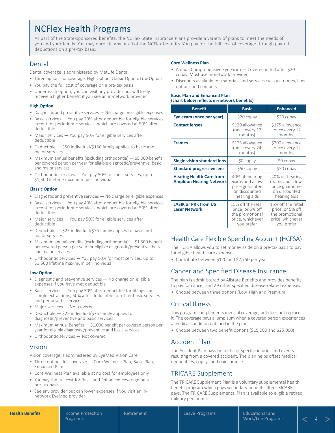# <span id="page-4-0"></span>NCFlex Health Programs

As part of the State-sponsored benefits, the NCFlex State Insurance Plans provide a variety of plans to meet the needs of you and your family. You may enroll in any or all of the NCFlex benefits. You pay for the full cost of coverage through payroll deductions on a pre-tax basis.

#### Dental

Dental coverage is administered by MetLife Dental.

- Three options for coverage: High Option, Classic Option, Low Option
- You pay the full cost of coverage on a pre-tax basis
- Under each option, you can visit any provider but will likely receive a higher benefit if you see an in-network provider

#### **High Option**

- Diagnostic and preventive services No charge on eligible expenses
- Basic services You pay 20% after deductible for eligible services except for periodontic services, which are covered at 50% after deductible
- Major services You pay 50% for eligible services after deductible
- Deductible \$50 individual/\$150 family applies to basic and major services
- Maximum annual benefits (excluding orthodontia) \$5,000 benefit per covered person per year for eligible diagnostic/preventive, basic and major services
- Orthodontic services You pay 50% for most services, up to \$1,500 lifetime maximum per individual

#### **Classic Option**

- Diagnostic and preventive services No charge on eligible expenses
- Basic services You pay 40% after deductible for eligible services except for periodontic services, which are covered at 50% after deductible
- Major services You pay 50% for eligible services after deductible
- Deductible \$25 individual/\$75 family applies to basic and major services
- Maximum annual benefits (excluding orthodontia)  $-$  \$1,500 benefit per covered person per year for eligible diagnostic/preventive, basic and major services
- Orthodontic services You pay 50% for most services, up to \$1,500 lifetime maximum per individual

#### **Low Option**

- Diagnostic and preventive services No charge on eligible expenses if you have met deductible
- Basic services You pay 50% after deductible for fillings and simple extractions; 50% after deductible for other basic services and periodontic services
- Major services Not covered
- Deductible \$25 individual/\$75 family applies to diagnostic/preventive and basic services
- Maximum Annual Benefits \$1,000 benefit per covered person per year for eligible diagnostic/preventive and basic services
- Orthodontic services Not covered

#### Vision

Vision coverage is administered by EyeMed Vision Care.

- Three options for coverage Core Wellness Plan, Basic Plan, Enhanced Plan
- Core Wellness Plan available at no cost for employees only
- You pay the full cost for Basic and Enhanced coverage on a pre-tax basis
- See any provider but can lower expenses if you visit an innetwork EyeMed provider

#### **Core Wellness Plan**

- Annual Comprehensive Eye Exam Covered in full after \$20 copay. Must use in-network provider
- Discounts available for materials and services such as frames, lens options and contacts

#### **Basic Plan and Enhanced Plan (chart below reflects in-network benefits)**

| <b>Benefit</b>                                                     | <b>Basic</b>                                                                                | <b>Enhanced</b>                                                                             |
|--------------------------------------------------------------------|---------------------------------------------------------------------------------------------|---------------------------------------------------------------------------------------------|
| Eye exam (once per year)                                           | \$20 copay                                                                                  | \$20 copay                                                                                  |
| <b>Contact lenses</b>                                              | \$120 allowance<br>(once every 12<br>months)                                                | \$175 allowance<br>(once every 12<br>months)                                                |
| <b>Frames</b>                                                      | \$125 allowance<br>(once every 24<br>months)                                                | \$200 allowance<br>(once every 12<br>months)                                                |
| <b>Single vision standard lens</b>                                 | \$0 copay                                                                                   | \$0 copay                                                                                   |
| <b>Standard progressive lens</b>                                   | \$50 copay                                                                                  | \$50 copay                                                                                  |
| <b>Hearing Health Care from</b><br><b>Amplifon Hearing Network</b> | 40% off hearing<br>exams and a low-<br>price guarantee<br>on discounted<br>hearing aids     | 40% off hearing<br>exams and a low-<br>price guarantee<br>on discounted<br>hearing aids     |
| <b>LASIK or PRK from US</b><br><b>Laser Network</b>                | 15% off the retail<br>price, or 5% off<br>the promotional<br>price, whichever<br>you prefer | 15% off the retail<br>price, or 5% off<br>the promotional<br>price, whichever<br>you prefer |

### Health Care Flexible Spending Account (HCFSA)

The HCFSA allows you to set money aside on a pre-tax basis to pay for eligible health care expenses.

• Contribute between \$120 and \$2,750 per year

#### Cancer and Specified Disease Insurance

The plan is administered by Allstate Benefits and provides benefits to pay for cancer and 29 other specified disease-related expenses.

• Choose between three options (Low, High and Premium)

### Critical Illness

This program complements medical coverage, but does not replace it. The coverage pays a lump sum when a covered person experiences a medical condition outlined in the plan.

• Choose between two benefit options (\$15,000 and \$25,000)

### Accident Plan

The Accident Plan pays benefits for specific injuries and events resulting from a covered accident. The plan helps offset medical deductibles, copays and coinsurance.

### TRICARE Supplement

The TRICARE Supplement Plan is a voluntary supplemental health benefit program which pays secondary benefits after TRICARE pays. The TRICARE Supplemental Plan is available to eligible retired military personnel.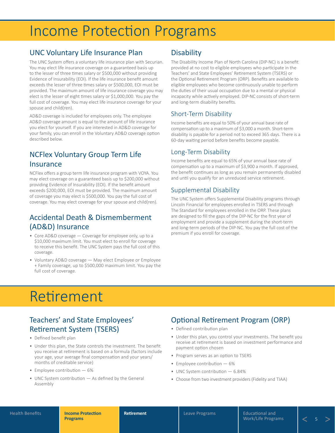# <span id="page-5-0"></span>Income Protection Programs

## UNC Voluntary Life Insurance Plan

The UNC System offers a voluntary life insurance plan with Securian. You may elect life insurance coverage on a guaranteed basis up to the lesser of three times salary or \$500,000 without providing Evidence of Insurability (EOI). If the life insurance benefit amount exceeds the lesser of three times salary or \$500,000, EOI must be provided. The maximum amount of life insurance coverage you may elect is the lesser of eight times salary or \$1,000,000. You pay the full cost of coverage. You may elect life insurance coverage for your spouse and child(ren).

AD&D coverage is included for employees only. The employee AD&D coverage amount is equal to the amount of life insurance you elect for yourself. If you are interested in AD&D coverage for your family, you can enroll in the Voluntary AD&D coverage option described below.

# NCFlex Voluntary Group Term Life **Insurance**

NCFlex offers a group term life insurance program with VOYA. You may elect coverage on a guaranteed basis up to \$200,000 without providing Evidence of Insurability (EOI). If the benefit amount exceeds \$200,000, EOI must be provided. The maximum amount of coverage you may elect is \$500,000. You pay the full cost of coverage. You may elect coverage for your spouse and child(ren).

## Accidental Death & Dismemberment (AD&D) Insurance

- Core AD&D coverage Coverage for employee only, up to a \$10,000 maximum limit. You must elect to enroll for coverage to receive this benefit. The UNC System pays the full cost of this coverage.
- Voluntary AD&D coverage May elect Employee or Employee + Family coverage, up to \$500,000 maximum limit. You pay the full cost of coverage.

# **Disability**

The Disability Income Plan of North Carolina (DIP-NC) is a benefit provided at no cost to eligible employees who participate in the Teachers' and State Employees' Retirement System (TSERS) or the Optional Retirement Program (ORP). Benefits are available to eligible employees who become continuously unable to perform the duties of their usual occupation due to a mental or physical incapacity while actively employed. DIP-NC consists of short-term and long-term disability benefits.

### Short-Term Disability

Income benefits are equal to 50% of your annual base rate of compensation up to a maximum of \$3,000 a month. Short-term disability is payable for a period not to exceed 365 days. There is a 60-day waiting period before benefits become payable.

### Long-Term Disability

Income benefits are equal to 65% of your annual base rate of compensation up to a maximum of \$3,900 a month. If approved, the benefit continues as long as you remain permanently disabled and until you qualify for an unreduced service retirement.

### Supplemental Disability

The UNC System offers Supplemental Disability programs through Lincoln Financial for employees enrolled in TSERS and through The Standard for employees enrolled in the ORP. These plans are designed to fill the gaps of the DIP-NC for the first year of employment and provide a supplement during the short-term and long-term periods of the DIP-NC. You pay the full cost of the premium if you enroll for coverage.

# Retirement

# Teachers' and State Employees' Retirement System (TSERS)

- Defined benefit plan
- Under this plan, the State controls the investment. The benefit you receive at retirement is based on a formula (factors include your age, your average final compensation and your years/ months of creditable service)
- Employee contribution 6%
- UNC System contribution As defined by the General Assembly

# Optional Retirement Program (ORP)

- Defined contribution plan
- Under this plan, you control your investments. The benefit you receive at retirement is based on investment performance and payment option chosen
- Program serves as an option to TSERS
- Employee contribution 6%
- UNC System contribution 6.84%
- Choose from two investment providers (Fidelity and TIAA)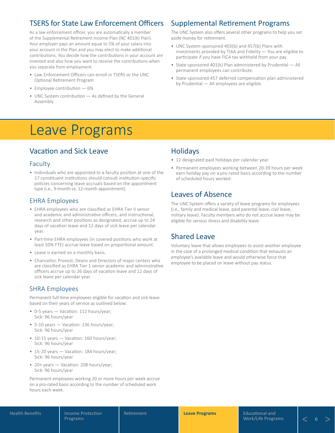# <span id="page-6-0"></span>TSERS for State Law Enforcement Officers

As a law enforcement officer, you are automatically a member of the Supplemental Retirement Income Plan (NC 401(k) Plan). Your employer pays an amount equal to 5% of your salary into your account in the Plan and you may elect to make additional contributions. You decide how the contributions in your account are invested and also how you want to receive the contributions when you separate from employment.

- Law Enforcement Officers can enroll in TSERS or the UNC Optional Retirement Program
- Employee contribution 6%
- UNC System contribution As defined by the General Assembly

# Leave Programs

# Vacation and Sick Leave

#### Faculty

• Individuals who are appointed to a faculty position at one of the 17 constituent institutions should consult institution-specific policies concerning leave accruals based on the appointment type (i.e., 9‑month vs. 12‑month appointment).

#### EHRA Employees

- EHRA employees who are classified as EHRA Tier II senior and academic and administrative officers, and instructional, research and other positions as designated, accrue up to 24 days of vacation leave and 12 days of sick leave per calendar year.
- Part-time EHRA employees (in covered positions who work at least 50% FTE) accrue leave based on proportional amount.
- Leave is earned on a monthly basis.
- Chancellor, Provost, Deans and Directors of major centers who are classified as EHRA Tier 1 senior academic and administrative officers accrue up to 26 days of vacation leave and 12 days of sick leave per calendar year.

### SHRA Employees

Permanent full-time employees eligible for vacation and sick leave based on their years of service as outlined below:

- 0-5 years Vacation: 112 hours/year; Sick: 96 hours/year
- 5-10 years Vacation: 136 hours/year; Sick: 96 hours/year
- 10-15 years Vacation: 160 hours/year; Sick: 96 hours/year
- 15-20 years Vacation: 184 hours/year; Sick: 96 hours/year
- 20+ years Vacation: 208 hours/year; Sick: 96 hours/year

Permanent employees working 20 or more hours per week accrue on a pro-rated basis according to the number of scheduled work hours each week.

# Supplemental Retirement Programs

The UNC System also offers several other programs to help you set aside money for retirement.

- UNC System-sponsored 403(b) and 457(b) Plans with investments provided by TIAA and Fidelity — You are eligible to participate if you have FICA tax withheld from your pay.
- State-sponsored 401(k) Plan administered by Prudential All permanent employees can contribute.
- State-sponsored 457 deferred compensation plan administered by Prudential — All employees are eligible.

## Holidays

- 12 designated paid holidays per calendar year.
- Permanent employees working between 20-39 hours per week earn holiday pay on a pro-rated basis according to the number of scheduled hours worked.

## Leaves of Absence

The UNC System offers a variety of leave programs for employees (i.e., family and medical leave, paid parental leave, civil leave, military leave). Faculty members who do not accrue leave may be eligible for serious illness and disability leave.

## Shared Leave

Voluntary leave that allows employees to assist another employee in the case of a prolonged medical condition that exhausts an employee's available leave and would otherwise force that employee to be placed on leave without pay status.

 $\overline{\epsilon}$  .